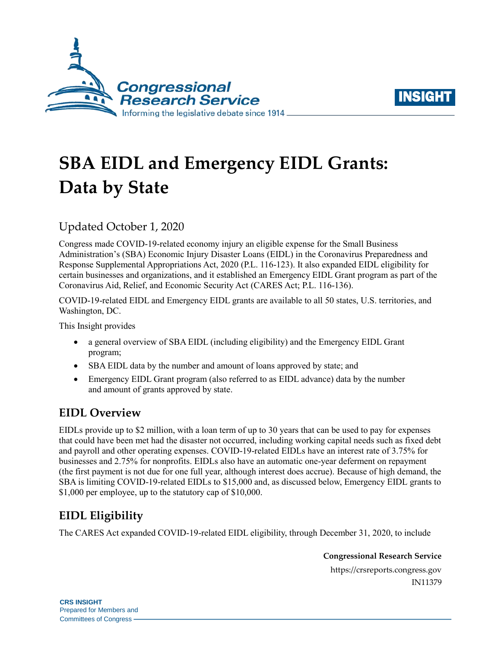



# **SBA EIDL and Emergency EIDL Grants: Data by State**

## Updated October 1, 2020

Congress made COVID-19-related economy injury an eligible expense for the Small Business Administration's (SBA) Economic Injury Disaster Loans (EIDL) in the Coronavirus Preparedness and Response Supplemental Appropriations Act, 2020 [\(P.L. 116-123\)](http://www.congress.gov/cgi-lis/bdquery/R?d116:FLD002:@1(116+123)). It also expanded EIDL eligibility for certain businesses and organizations, and it established an Emergency EIDL Grant program as part of the Coronavirus Aid, Relief, and Economic Security Act (CARES Act; [P.L. 116-136\)](http://www.congress.gov/cgi-lis/bdquery/R?d116:FLD002:@1(116+136)).

COVID-19-related EIDL and Emergency EIDL grants are available to all 50 states, U.S. territories, and Washington, DC.

This Insight provides

- a general overview of SBA EIDL (including eligibility) and the Emergency EIDL Grant program;
- SBA EIDL data by the number and amount of loans approved by state; and
- Emergency EIDL Grant program (also referred to as EIDL advance) data by the number and amount of grants approved by state.

#### **EIDL Overview**

EIDLs provide up to \$2 million, with a loan term of up to 30 years that can be used to pay for expenses that could have been met had the disaster not occurred, including working capital needs such as fixed debt and payroll and other operating expenses. COVID-19-related EIDLs have an interest rate of 3.75% for businesses and 2.75% for nonprofits. EIDLs also have an automatic one-year deferment on repayment (the first payment is not due for one full year, although interest does accrue). Because of high demand, the SBA is limiting COVID-19-related EIDLs to \$15,000 and, as discussed below, Emergency EIDL grants to \$1,000 per employee, up to the statutory cap of \$10,000.

### **EIDL Eligibility**

The CARES Act expanded COVID-19-related EIDL eligibility, through December 31, 2020, to include

**Congressional Research Service**

https://crsreports.congress.gov IN11379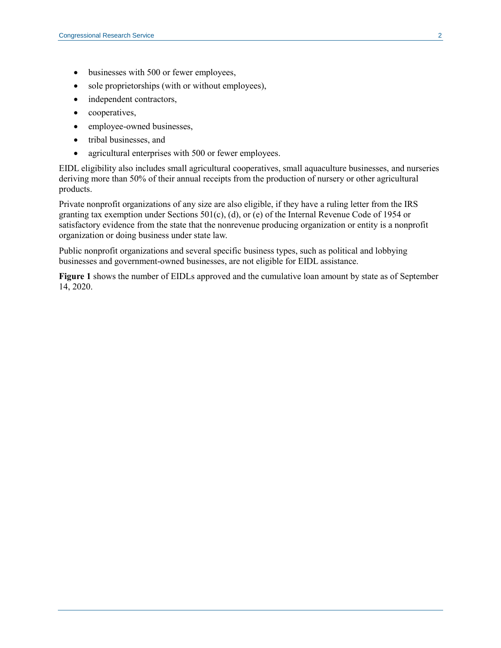- businesses with 500 or fewer employees,
- sole proprietorships (with or without employees),
- independent contractors,
- cooperatives,
- employee-owned businesses,
- tribal businesses, and
- agricultural enterprises with 500 or fewer employees.

EIDL eligibility also includes small agricultural cooperatives, small aquaculture businesses, and nurseries deriving more than 50% of their annual receipts from the production of nursery or other agricultural products.

Private nonprofit organizations of any size are also eligible, if they have a ruling letter from the IRS granting tax exemption under Sections 501(c), (d), or (e) of the Internal Revenue Code of 1954 or satisfactory evidence from the state that the nonrevenue producing organization or entity is a nonprofit organization or doing business under state law.

Public nonprofit organizations and several specific business types, such as political and lobbying businesses and government-owned businesses, are not eligible for EIDL assistance.

**[Figure 1](#page-2-0)** shows the number of EIDLs approved and the cumulative loan amount by state as of September 14, 2020.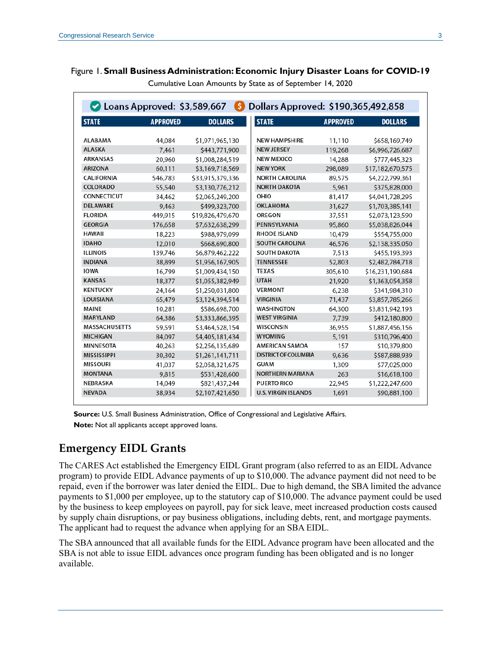<span id="page-2-0"></span>

|  |  |  | Figure 1. Small Business Administration: Economic Injury Disaster Loans for COVID-19 |  |  |  |  |  |  |  |  |  |
|--|--|--|--------------------------------------------------------------------------------------|--|--|--|--|--|--|--|--|--|
|--|--|--|--------------------------------------------------------------------------------------|--|--|--|--|--|--|--|--|--|

| Loans Approved: \$3,589,667 |                 | (\$              | Dollars Approved: \$190,365,492,858 |                 |                  |
|-----------------------------|-----------------|------------------|-------------------------------------|-----------------|------------------|
| <b>STATE</b>                | <b>APPROVED</b> | <b>DOLLARS</b>   | <b>STATE</b>                        | <b>APPROVED</b> | <b>DOLLARS</b>   |
| <b>ALABAMA</b>              | 44,084          | \$1,971,965,130  | <b>NEW HAMPSHIRE</b>                | 11,110          | \$658,169,749    |
| <b>ALASKA</b>               | 7,461           | \$443,771,900    | <b>NEW JERSEY</b>                   | 119,268         | \$6,996,726,687  |
| <b>ARKANSAS</b>             | 20,960          | \$1,008,284,519  | <b>NEW MEXICO</b>                   | 14,288          | \$777,445,323    |
| <b>ARIZONA</b>              | 60,111          | \$3,169,718,569  | <b>NEW YORK</b>                     | 298,089         | \$17,182,670,575 |
| CALIFORNIA                  | 546,783         | \$33,915,379,336 | <b>NORTH CAROLINA</b>               | 89,575          | \$4,222,799,361  |
| <b>COLORADO</b>             | 55,540          | \$3,130,776,212  | <b>NORTH DAKOTA</b>                 | 5.961           | \$375,828,000    |
| <b>CONNECTICUT</b>          | 34,462          | \$2,065,249,200  | OHIO                                | 81.417          | \$4,041,728,295  |
| <b>DELAWARE</b>             | 9,463           | \$499,323,700    | <b>OKLAHOMA</b>                     | 31,627          | \$1,703,385,141  |
| <b>FLORIDA</b>              | 449,915         | \$19,826,479,670 | <b>OREGON</b>                       | 37,551          | \$2,073,123,590  |
| <b>GEORGIA</b>              | 176,658         | \$7,632,638,299  | PENNSYLVANIA                        | 95,860          | \$5,038,826,044  |
| HAWAII                      | 18,223          | \$988,979,099    | <b>RHODE ISLAND</b>                 | 10,479          | \$554,755,000    |
| <b>IDAHO</b>                | 12,010          | \$668,690,800    | <b>SOUTH CAROLINA</b>               | 46,576          | \$2,138,335,050  |
| <b>ILLINOIS</b>             | 139,746         | \$6,879,462,222  | <b>SOUTH DAKOTA</b>                 | 7,513           | \$455,193,393    |
| <b>INDIANA</b>              | 38,899          | \$1,956,167,905  | <b>TENNESSEE</b>                    | 52,803          | \$2,482,784,718  |
| <b>IOWA</b>                 | 16,799          | \$1,009,434,150  | <b>TEXAS</b>                        | 305,610         | \$16,231,190,684 |
| <b>KANSAS</b>               | 18,377          | \$1,055,382,949  | <b>UTAH</b>                         | 21,920          | \$1,363,054,358  |
| <b>KENTUCKY</b>             | 24,164          | \$1,250,031,800  | <b>VERMONT</b>                      | 6,238           | \$341,984,310    |
| LOUISIANA                   | 65,479          | \$3,124,394,514  | <b>VIRGINIA</b>                     | 71,437          | \$3,857,785,266  |
| <b>MAINE</b>                | 10,281          | \$586,698,700    | <b>WASHINGTON</b>                   | 64,300          | \$3,831,942,193  |
| <b>MARYLAND</b>             | 64,386          | \$3,333,866,395  | <b>WEST VIRGINIA</b>                | 7.739           | \$412,180,800    |
| <b>MASSACHUSETTS</b>        | 59,591          | \$3,464,528,154  | WISCONSIN                           | 36,955          | \$1,887,456,156  |
| <b>MICHIGAN</b>             | 84,097          | \$4,405,181,434  | <b>WYOMING</b>                      | 5,191           | \$310,796,400    |
| MINNESOTA                   | 40,263          | \$2,256,135,689  | <b>AMERICAN SAMOA</b>               | 157             | \$10,379,800     |
| <b>MISSISSIPPI</b>          | 30,302          | \$1,261,141,711  | <b>DISTRICT OF COLUMBIA</b>         | 9,636           | \$587,888,939    |
| <b>MISSOURI</b>             | 41,037          | \$2,058,321,675  | <b>GUAM</b>                         | 1,309           | \$77,025,000     |
| <b>MONTANA</b>              | 9.815           | \$531,428,600    | <b>NORTHERN MARIANA</b>             | 263             | \$16,618,100     |
| NEBRASKA                    | 14,049          | \$821,437,244    | <b>PUERTO RICO</b>                  | 22,945          | \$1,222,247,600  |
| <b>NEVADA</b>               | 38,934          | \$2,107,421,650  | <b>U.S. VIRGIN ISLANDS</b>          | 1,691           | \$90,881,100     |

Cumulative Loan Amounts by State as of September 14, 2020

**Source:** U.S. Small Business Administration, Office of Congressional and Legislative Affairs. **Note:** Not all applicants accept approved loans.

#### **Emergency EIDL Grants**

The CARES Act established the Emergency EIDL Grant program (also referred to as an EIDL Advance program) to provide EIDL Advance payments of up to \$10,000. The advance payment did not need to be repaid, even if the borrower was later denied the EIDL. Due to high demand, the SBA limited the advance payments to \$1,000 per employee, up to the statutory cap of \$10,000. The advance payment could be used by the business to keep employees on payroll, pay for sick leave, meet increased production costs caused by supply chain disruptions, or pay business obligations, including debts, rent, and mortgage payments. The applicant had to request the advance when applying for an SBA EIDL.

The [SBA announced](https://www.sba.gov/funding-programs/loans/coronavirus-relief-options/economic-injury-disaster-loans) that all available funds for the EIDL Advance program have been allocated and the SBA is not able to issue EIDL advances once program funding has been obligated and is no longer available.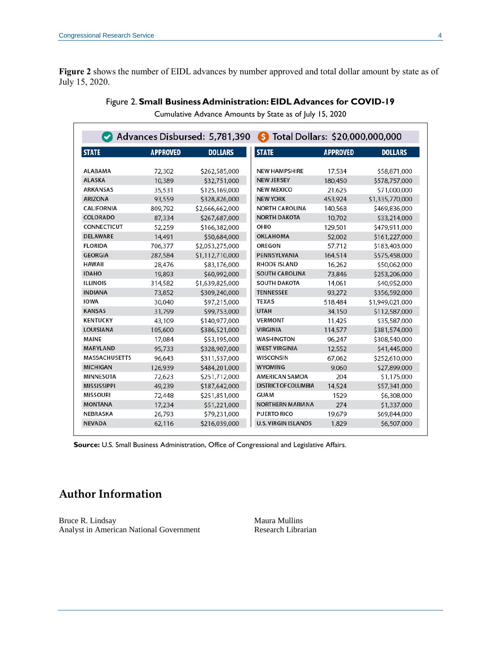<span id="page-3-0"></span>**[Figure 2](#page-3-0)** shows the number of EIDL advances by number approved and total dollar amount by state as of July 15, 2020.

|                      |                 | Advances Disbursed: 5,781,390 | Total Dollars: \$20,000,000,000<br>Ŝ |                 |                 |
|----------------------|-----------------|-------------------------------|--------------------------------------|-----------------|-----------------|
| <b>STATE</b>         | <b>APPROVED</b> | <b>DOLLARS</b>                | <b>STATE</b>                         | <b>APPROVED</b> | <b>DOLLARS</b>  |
| <b>ALABAMA</b>       | 72,302          | \$262,585,000                 | <b>NEW HAMPSHIRE</b>                 | 17,534          | \$58,871,000    |
| <b>ALASKA</b>        | 10,389          | \$32,751,000                  | <b>NEW JERSEY</b>                    | 180,450         | \$578,757,000   |
| <b>ARKANSAS</b>      | 35,531          | \$125,169,000                 | <b>NEW MEXICO</b>                    | 21,625          | \$71,000,000    |
| <b>ARIZONA</b>       | 93,559          | \$328,826,000                 | <b>NEW YORK</b>                      | 453,924         | \$1,335,770,000 |
| <b>CALIFORNIA</b>    | 809,792         | \$2,666,662,000               | <b>NORTH CAROLINA</b>                | 140,568         | \$469,836,000   |
| COLORADO             | 87,334          | \$267,687,000                 | <b>NORTH DAKOTA</b>                  | 10.702          | \$33,214,000    |
| <b>CONNECTICUT</b>   | 52,259          | \$166,382,000                 | OHIO                                 | 129,501         | \$479,911,000   |
| <b>DELAWARE</b>      | 14,491          | \$50,684,000                  | OKLAHOMA                             | 52,002          | \$161,227,000   |
| <b>FLORIDA</b>       | 706,377         | \$2,053,275,000               | <b>OREGON</b>                        | 57,712          | \$183,403,000   |
| <b>GEORGIA</b>       | 287,584         | \$1,112,710,000               | PENNSYLVANIA                         | 164,514         | \$575,458,000   |
| <b>HAWAII</b>        | 28,476          | \$83,176,000                  | <b>RHODE ISLAND</b>                  | 16,262          | \$50,062,000    |
| <b>IDAHO</b>         | 19,893          | \$60,992,000                  | <b>SOUTH CAROLINA</b>                | 73,846          | \$253,206,000   |
| <b>ILLINOIS</b>      | 314,582         | \$1,639,825,000               | <b>SOUTH DAKOTA</b>                  | 14,061          | \$40,952,000    |
| <b>INDIANA</b>       | 73,852          | \$309,240,000                 | <b>TENNESSEE</b>                     | 93,272          | \$356,592,000   |
| <b>IOWA</b>          | 30.040          | \$97,215,000                  | <b>TEXAS</b>                         | 518,484         | \$1,949,021,000 |
| <b>KANSAS</b>        | 31,799          | \$99,753,000                  | <b>UTAH</b>                          | 34,150          | \$112,587,000   |
| <b>KENTUCKY</b>      | 43,109          | \$140,977,000                 | <b>VERMONT</b>                       | 11,425          | \$35,587,000    |
| <b>LOUISIANA</b>     | 105,600         | \$386,521,000                 | <b>VIRGINIA</b>                      | 114,577         | \$381,574,000   |
| <b>MAINE</b>         | 17,084          | \$53,195,000                  | <b>WASHINGTON</b>                    | 96,247          | \$308,540,000   |
| <b>MARYLAND</b>      | 95,733          | \$328,907,000                 | <b>WEST VIRGINIA</b>                 | 12,552          | \$41,445,000    |
| <b>MASSACHUSETTS</b> | 96,643          | \$311,537,000                 | WISCONSIN                            | 67,062          | \$252,610,000   |
| <b>MICHIGAN</b>      | 126,939         | \$484,201,000                 | <b>WYOMING</b>                       | 9,060           | \$27,899,000    |
| <b>MINNESOTA</b>     | 72,623          | \$251,712,000                 | <b>AMERICAN SAMOA</b>                | 204             | \$1,175,000     |
| <b>MISSISSIPPI</b>   | 49,239          | \$187,642,000                 | <b>DISTRICT OF COLUMBIA</b>          | 14,524          | \$57,341,000    |
| <b>MISSOURI</b>      | 72,448          | \$251,851,000                 | <b>GUAM</b>                          | 1529            | \$6,308,000     |
| <b>MONTANA</b>       | 17,234          | \$51,221,000                  | <b>NORTHERN MARIANA</b>              | 274             | \$1,337,000     |
| <b>NEBRASKA</b>      | 26,793          | \$79,231,000                  | <b>PUERTO RICO</b>                   | 19,679          | \$69,844,000    |
| <b>NEVADA</b>        | 62,116          | \$216,039,000                 | <b>U.S. VIRGIN ISLANDS</b>           | 1,829           | \$6,507,000     |

Cumulative Advance Amounts by State as of July 15, 2020

**Source:** U.S. Small Business Administration, Office of Congressional and Legislative Affairs.

# **Author Information**

Bruce R. Lindsay Analyst in American National Government Maura Mullins Research Librarian